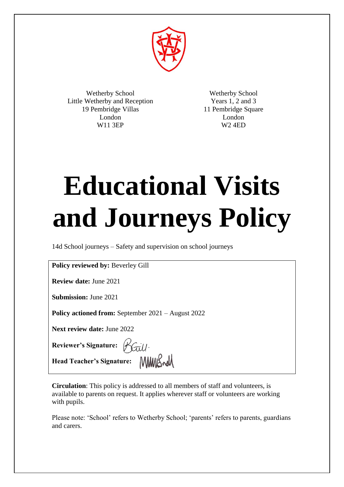

Wetherby School Little Wetherby and Reception 19 Pembridge Villas London W11 3EP

Wetherby School Years 1, 2 and 3 11 Pembridge Square London W2 4ED

# **Educational Visits and Journeys Policy**

14d School journeys – Safety and supervision on school journeys

**Policy reviewed by:** Beverley Gill

**Review date:** June 2021

**Submission:** June 2021

**Policy actioned from:** September 2021 – August 2022

**Next review date:** June 2022

**Reviewer's Signature:** 

**Head Teacher's Signature:** 

**Circulation**: This policy is addressed to all members of staff and volunteers, is available to parents on request. It applies wherever staff or volunteers are working with pupils.

Please note: 'School' refers to Wetherby School; 'parents' refers to parents, guardians and carers.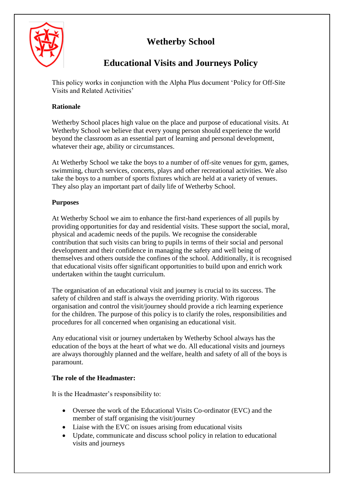# **Wetherby School**



# **Educational Visits and Journeys Policy**

This policy works in conjunction with the Alpha Plus document 'Policy for Off-Site Visits and Related Activities'

# **Rationale**

Wetherby School places high value on the place and purpose of educational visits. At Wetherby School we believe that every young person should experience the world beyond the classroom as an essential part of learning and personal development, whatever their age, ability or circumstances.

At Wetherby School we take the boys to a number of off-site venues for gym, games, swimming, church services, concerts, plays and other recreational activities. We also take the boys to a number of sports fixtures which are held at a variety of venues. They also play an important part of daily life of Wetherby School.

# **Purposes**

At Wetherby School we aim to enhance the first-hand experiences of all pupils by providing opportunities for day and residential visits. These support the social, moral, physical and academic needs of the pupils. We recognise the considerable contribution that such visits can bring to pupils in terms of their social and personal development and their confidence in managing the safety and well being of themselves and others outside the confines of the school. Additionally, it is recognised that educational visits offer significant opportunities to build upon and enrich work undertaken within the taught curriculum.

The organisation of an educational visit and journey is crucial to its success. The safety of children and staff is always the overriding priority. With rigorous organisation and control the visit/journey should provide a rich learning experience for the children. The purpose of this policy is to clarify the roles, responsibilities and procedures for all concerned when organising an educational visit.

Any educational visit or journey undertaken by Wetherby School always has the education of the boys at the heart of what we do. All educational visits and journeys are always thoroughly planned and the welfare, health and safety of all of the boys is paramount.

# **The role of the Headmaster:**

It is the Headmaster's responsibility to:

- Oversee the work of the Educational Visits Co-ordinator (EVC) and the member of staff organising the visit/journey
- Liaise with the EVC on issues arising from educational visits
- Update, communicate and discuss school policy in relation to educational visits and journeys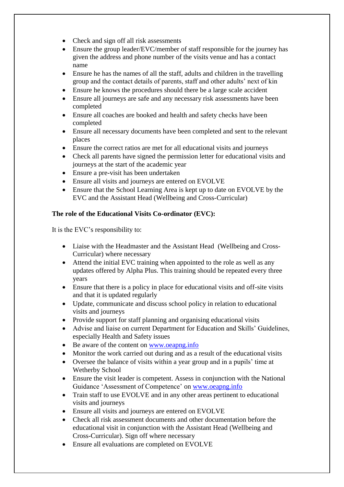- Check and sign off all risk assessments
- Ensure the group leader/EVC/member of staff responsible for the journey has given the address and phone number of the visits venue and has a contact name
- Ensure he has the names of all the staff, adults and children in the travelling group and the contact details of parents, staff and other adults' next of kin
- Ensure he knows the procedures should there be a large scale accident
- Ensure all journeys are safe and any necessary risk assessments have been completed
- Ensure all coaches are booked and health and safety checks have been completed
- Ensure all necessary documents have been completed and sent to the relevant places
- Ensure the correct ratios are met for all educational visits and journeys
- Check all parents have signed the permission letter for educational visits and journeys at the start of the academic year
- Ensure a pre-visit has been undertaken
- Ensure all visits and journeys are entered on EVOLVE
- Ensure that the School Learning Area is kept up to date on EVOLVE by the EVC and the Assistant Head (Wellbeing and Cross-Curricular)

# **The role of the Educational Visits Co-ordinator (EVC):**

It is the EVC's responsibility to:

- Liaise with the Headmaster and the Assistant Head (Wellbeing and Cross-Curricular) where necessary
- Attend the initial EVC training when appointed to the role as well as any updates offered by Alpha Plus. This training should be repeated every three years
- Ensure that there is a policy in place for educational visits and off-site visits and that it is updated regularly
- Update, communicate and discuss school policy in relation to educational visits and journeys
- Provide support for staff planning and organising educational visits
- Advise and liaise on current Department for Education and Skills' Guidelines, especially Health and Safety issues
- Be aware of the content on [www.oeapng.info](http://www.oeapng.info/)
- Monitor the work carried out during and as a result of the educational visits
- Oversee the balance of visits within a year group and in a pupils' time at Wetherby School
- Ensure the visit leader is competent. Assess in conjunction with the National Guidance 'Assessment of Competence' on [www.oeapng.info](http://www.oeapng.info/)
- Train staff to use EVOLVE and in any other areas pertinent to educational visits and journeys
- Ensure all visits and journeys are entered on EVOLVE
- Check all risk assessment documents and other documentation before the educational visit in conjunction with the Assistant Head (Wellbeing and Cross-Curricular). Sign off where necessary
- Ensure all evaluations are completed on EVOLVE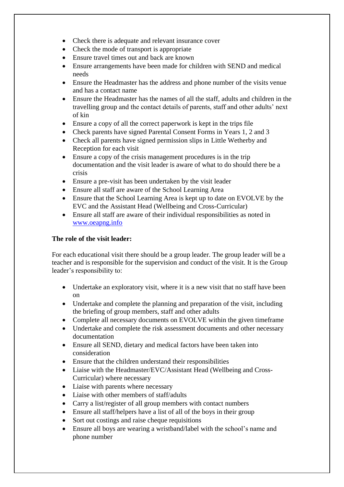- Check there is adequate and relevant insurance cover
- Check the mode of transport is appropriate
- Ensure travel times out and back are known
- Ensure arrangements have been made for children with SEND and medical needs
- Ensure the Headmaster has the address and phone number of the visits venue and has a contact name
- Ensure the Headmaster has the names of all the staff, adults and children in the travelling group and the contact details of parents, staff and other adults' next of kin
- Ensure a copy of all the correct paperwork is kept in the trips file
- Check parents have signed Parental Consent Forms in Years 1, 2 and 3
- Check all parents have signed permission slips in Little Wetherby and Reception for each visit
- Ensure a copy of the crisis management procedures is in the trip documentation and the visit leader is aware of what to do should there be a crisis
- Ensure a pre-visit has been undertaken by the visit leader
- Ensure all staff are aware of the School Learning Area
- Ensure that the School Learning Area is kept up to date on EVOLVE by the EVC and the Assistant Head (Wellbeing and Cross-Curricular)
- Ensure all staff are aware of their individual responsibilities as noted in [www.oeapng.info](http://www.oeapng.info/)

#### **The role of the visit leader:**

For each educational visit there should be a group leader. The group leader will be a teacher and is responsible for the supervision and conduct of the visit. It is the Group leader's responsibility to:

- Undertake an exploratory visit, where it is a new visit that no staff have been on
- Undertake and complete the planning and preparation of the visit, including the briefing of group members, staff and other adults
- Complete all necessary documents on EVOLVE within the given timeframe
- Undertake and complete the risk assessment documents and other necessary documentation
- Ensure all SEND, dietary and medical factors have been taken into consideration
- Ensure that the children understand their responsibilities
- Liaise with the Headmaster/EVC/Assistant Head (Wellbeing and Cross-Curricular) where necessary
- Liaise with parents where necessary
- Liaise with other members of staff/adults
- Carry a list/register of all group members with contact numbers
- Ensure all staff/helpers have a list of all of the boys in their group
- Sort out costings and raise cheque requisitions
- Ensure all boys are wearing a wristband/label with the school's name and phone number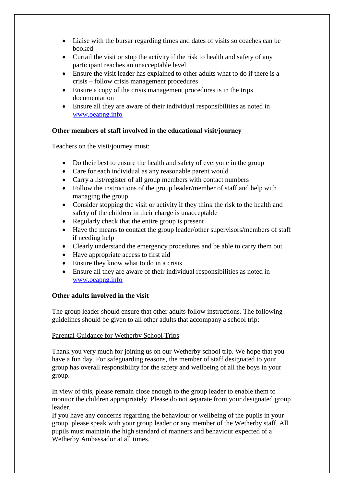- Liaise with the bursar regarding times and dates of visits so coaches can be booked
- Curtail the visit or stop the activity if the risk to health and safety of any participant reaches an unacceptable level
- Ensure the visit leader has explained to other adults what to do if there is a crisis – follow crisis management procedures
- Ensure a copy of the crisis management procedures is in the trips documentation
- Ensure all they are aware of their individual responsibilities as noted in [www.oeapng.info](http://www.oeapng.info/)

# **Other members of staff involved in the educational visit/journey**

Teachers on the visit/journey must:

- Do their best to ensure the health and safety of everyone in the group
- Care for each individual as any reasonable parent would
- Carry a list/register of all group members with contact numbers
- Follow the instructions of the group leader/member of staff and help with managing the group
- Consider stopping the visit or activity if they think the risk to the health and safety of the children in their charge is unacceptable
- Regularly check that the entire group is present
- Have the means to contact the group leader/other supervisors/members of staff if needing help
- Clearly understand the emergency procedures and be able to carry them out
- Have appropriate access to first aid
- Ensure they know what to do in a crisis
- Ensure all they are aware of their individual responsibilities as noted in [www.oeapng.info](http://www.oeapng.info/)

#### **Other adults involved in the visit**

The group leader should ensure that other adults follow instructions. The following guidelines should be given to all other adults that accompany a school trip:

#### Parental Guidance for Wetherby School Trips

Thank you very much for joining us on our Wetherby school trip. We hope that you have a fun day. For safeguarding reasons, the member of staff designated to your group has overall responsibility for the safety and wellbeing of all the boys in your group.

In view of this, please remain close enough to the group leader to enable them to monitor the children appropriately. Please do not separate from your designated group leader.

If you have any concerns regarding the behaviour or wellbeing of the pupils in your group, please speak with your group leader or any member of the Wetherby staff. All pupils must maintain the high standard of manners and behaviour expected of a Wetherby Ambassador at all times.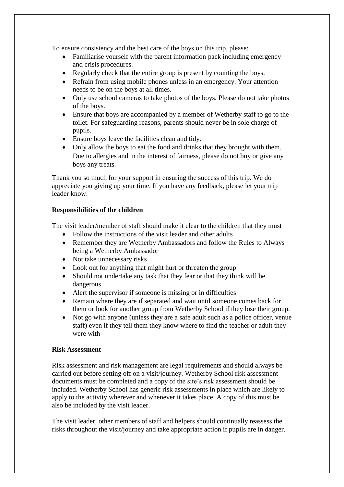To ensure consistency and the best care of the boys on this trip, please:

- Familiarise yourself with the parent information pack including emergency and crisis procedures.
- Regularly check that the entire group is present by counting the boys.
- Refrain from using mobile phones unless in an emergency. Your attention needs to be on the boys at all times.
- Only use school cameras to take photos of the boys. Please do not take photos of the boys.
- Ensure that boys are accompanied by a member of Wetherby staff to go to the toilet. For safeguarding reasons, parents should never be in sole charge of pupils.
- Ensure boys leave the facilities clean and tidy.
- Only allow the boys to eat the food and drinks that they brought with them. Due to allergies and in the interest of fairness, please do not buy or give any boys any treats.

Thank you so much for your support in ensuring the success of this trip. We do appreciate you giving up your time. If you have any feedback, please let your trip leader know.

#### **Responsibilities of the children**

The visit leader/member of staff should make it clear to the children that they must

- Follow the instructions of the visit leader and other adults
- Remember they are Wetherby Ambassadors and follow the Rules to Always being a Wetherby Ambassador
- Not take unnecessary risks
- Look out for anything that might hurt or threaten the group
- Should not undertake any task that they fear or that they think will be dangerous
- Alert the supervisor if someone is missing or in difficulties
- Remain where they are if separated and wait until someone comes back for them or look for another group from Wetherby School if they lose their group.
- Not go with anyone (unless they are a safe adult such as a police officer, venue staff) even if they tell them they know where to find the teacher or adult they were with

#### **Risk Assessment**

Risk assessment and risk management are legal requirements and should always be carried out before setting off on a visit/journey. Wetherby School risk assessment documents must be completed and a copy of the site's risk assessment should be included. Wetherby School has generic risk assessments in place which are likely to apply to the activity wherever and whenever it takes place. A copy of this must be also be included by the visit leader.

The visit leader, other members of staff and helpers should continually reassess the risks throughout the visit/journey and take appropriate action if pupils are in danger.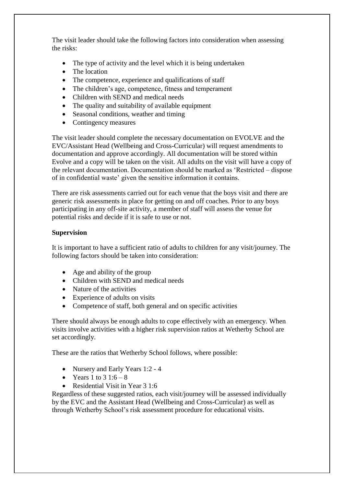The visit leader should take the following factors into consideration when assessing the risks:

- The type of activity and the level which it is being undertaken
- The location
- The competence, experience and qualifications of staff
- The children's age, competence, fitness and temperament
- Children with SEND and medical needs
- The quality and suitability of available equipment
- Seasonal conditions, weather and timing
- Contingency measures

The visit leader should complete the necessary documentation on EVOLVE and the EVC/Assistant Head (Wellbeing and Cross-Curricular) will request amendments to documentation and approve accordingly. All documentation will be stored within Evolve and a copy will be taken on the visit. All adults on the visit will have a copy of the relevant documentation. Documentation should be marked as 'Restricted – dispose of in confidential waste' given the sensitive information it contains.

There are risk assessments carried out for each venue that the boys visit and there are generic risk assessments in place for getting on and off coaches. Prior to any boys participating in any off-site activity, a member of staff will assess the venue for potential risks and decide if it is safe to use or not.

#### **Supervision**

It is important to have a sufficient ratio of adults to children for any visit/journey. The following factors should be taken into consideration:

- Age and ability of the group
- Children with SEND and medical needs
- Nature of the activities
- Experience of adults on visits
- Competence of staff, both general and on specific activities

There should always be enough adults to cope effectively with an emergency. When visits involve activities with a higher risk supervision ratios at Wetherby School are set accordingly.

These are the ratios that Wetherby School follows, where possible:

- Nursery and Early Years 1:2 4
- Years 1 to  $3 \cdot 1:6 8$
- Residential Visit in Year 3 1:6

Regardless of these suggested ratios, each visit/journey will be assessed individually by the EVC and the Assistant Head (Wellbeing and Cross-Curricular) as well as through Wetherby School's risk assessment procedure for educational visits.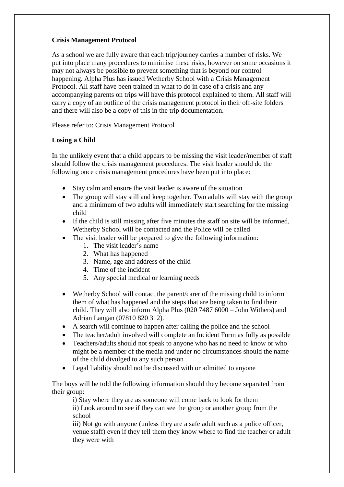# **Crisis Management Protocol**

As a school we are fully aware that each trip/journey carries a number of risks. We put into place many procedures to minimise these risks, however on some occasions it may not always be possible to prevent something that is beyond our control happening. Alpha Plus has issued Wetherby School with a Crisis Management Protocol. All staff have been trained in what to do in case of a crisis and any accompanying parents on trips will have this protocol explained to them. All staff will carry a copy of an outline of the crisis management protocol in their off-site folders and there will also be a copy of this in the trip documentation.

Please refer to: Crisis Management Protocol

# **Losing a Child**

In the unlikely event that a child appears to be missing the visit leader/member of staff should follow the crisis management procedures. The visit leader should do the following once crisis management procedures have been put into place:

- Stay calm and ensure the visit leader is aware of the situation
- The group will stay still and keep together. Two adults will stay with the group and a minimum of two adults will immediately start searching for the missing child
- If the child is still missing after five minutes the staff on site will be informed, Wetherby School will be contacted and the Police will be called
- The visit leader will be prepared to give the following information:
	- 1. The visit leader's name
	- 2. What has happened
	- 3. Name, age and address of the child
	- 4. Time of the incident
	- 5. Any special medical or learning needs
- Wetherby School will contact the parent/carer of the missing child to inform them of what has happened and the steps that are being taken to find their child. They will also inform Alpha Plus (020 7487 6000 – John Withers) and Adrian Langan (07810 820 312).
- A search will continue to happen after calling the police and the school
- The teacher/adult involved will complete an Incident Form as fully as possible
- Teachers/adults should not speak to anyone who has no need to know or who might be a member of the media and under no circumstances should the name of the child divulged to any such person
- Legal liability should not be discussed with or admitted to anyone

The boys will be told the following information should they become separated from their group:

i) Stay where they are as someone will come back to look for them ii) Look around to see if they can see the group or another group from the school

iii) Not go with anyone (unless they are a safe adult such as a police officer, venue staff) even if they tell them they know where to find the teacher or adult they were with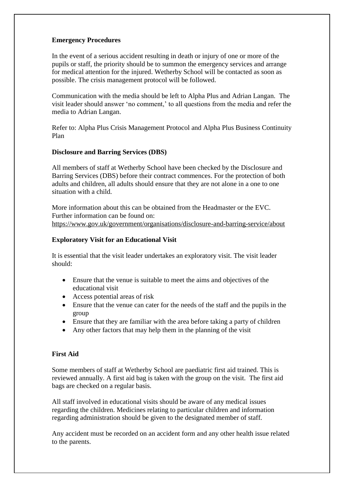#### **Emergency Procedures**

In the event of a serious accident resulting in death or injury of one or more of the pupils or staff, the priority should be to summon the emergency services and arrange for medical attention for the injured. Wetherby School will be contacted as soon as possible. The crisis management protocol will be followed.

Communication with the media should be left to Alpha Plus and Adrian Langan. The visit leader should answer 'no comment,' to all questions from the media and refer the media to Adrian Langan.

Refer to: Alpha Plus Crisis Management Protocol and Alpha Plus Business Continuity Plan

#### **Disclosure and Barring Services (DBS)**

All members of staff at Wetherby School have been checked by the Disclosure and Barring Services (DBS) before their contract commences. For the protection of both adults and children, all adults should ensure that they are not alone in a one to one situation with a child.

More information about this can be obtained from the Headmaster or the EVC. Further information can be found on: <https://www.gov.uk/government/organisations/disclosure-and-barring-service/about>

#### **Exploratory Visit for an Educational Visit**

It is essential that the visit leader undertakes an exploratory visit. The visit leader should:

- Ensure that the venue is suitable to meet the aims and objectives of the educational visit
- Access potential areas of risk
- Ensure that the venue can cater for the needs of the staff and the pupils in the group
- Ensure that they are familiar with the area before taking a party of children
- Any other factors that may help them in the planning of the visit

#### **First Aid**

Some members of staff at Wetherby School are paediatric first aid trained. This is reviewed annually. A first aid bag is taken with the group on the visit. The first aid bags are checked on a regular basis.

All staff involved in educational visits should be aware of any medical issues regarding the children. Medicines relating to particular children and information regarding administration should be given to the designated member of staff.

Any accident must be recorded on an accident form and any other health issue related to the parents.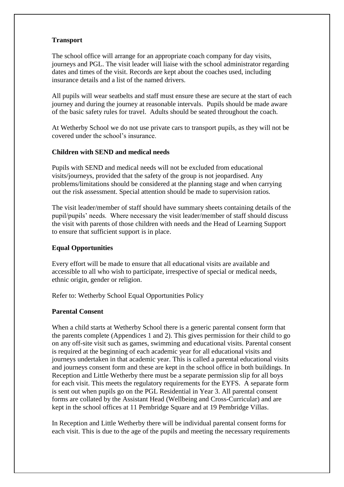#### **Transport**

The school office will arrange for an appropriate coach company for day visits, journeys and PGL. The visit leader will liaise with the school administrator regarding dates and times of the visit. Records are kept about the coaches used, including insurance details and a list of the named drivers.

All pupils will wear seatbelts and staff must ensure these are secure at the start of each journey and during the journey at reasonable intervals. Pupils should be made aware of the basic safety rules for travel. Adults should be seated throughout the coach.

At Wetherby School we do not use private cars to transport pupils, as they will not be covered under the school's insurance.

#### **Children with SEND and medical needs**

Pupils with SEND and medical needs will not be excluded from educational visits/journeys, provided that the safety of the group is not jeopardised. Any problems/limitations should be considered at the planning stage and when carrying out the risk assessment. Special attention should be made to supervision ratios.

The visit leader/member of staff should have summary sheets containing details of the pupil/pupils' needs. Where necessary the visit leader/member of staff should discuss the visit with parents of those children with needs and the Head of Learning Support to ensure that sufficient support is in place.

# **Equal Opportunities**

Every effort will be made to ensure that all educational visits are available and accessible to all who wish to participate, irrespective of special or medical needs, ethnic origin, gender or religion.

Refer to: Wetherby School Equal Opportunities Policy

#### **Parental Consent**

When a child starts at Wetherby School there is a generic parental consent form that the parents complete (Appendices 1 and 2). This gives permission for their child to go on any off-site visit such as games, swimming and educational visits. Parental consent is required at the beginning of each academic year for all educational visits and journeys undertaken in that academic year. This is called a parental educational visits and journeys consent form and these are kept in the school office in both buildings. In Reception and Little Wetherby there must be a separate permission slip for all boys for each visit. This meets the regulatory requirements for the EYFS. A separate form is sent out when pupils go on the PGL Residential in Year 3. All parental consent forms are collated by the Assistant Head (Wellbeing and Cross-Curricular) and are kept in the school offices at 11 Pembridge Square and at 19 Pembridge Villas.

In Reception and Little Wetherby there will be individual parental consent forms for each visit. This is due to the age of the pupils and meeting the necessary requirements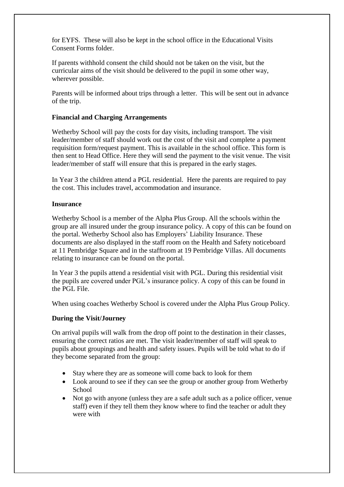for EYFS. These will also be kept in the school office in the Educational Visits Consent Forms folder.

If parents withhold consent the child should not be taken on the visit, but the curricular aims of the visit should be delivered to the pupil in some other way, wherever possible.

Parents will be informed about trips through a letter. This will be sent out in advance of the trip.

#### **Financial and Charging Arrangements**

Wetherby School will pay the costs for day visits, including transport. The visit leader/member of staff should work out the cost of the visit and complete a payment requisition form/request payment. This is available in the school office. This form is then sent to Head Office. Here they will send the payment to the visit venue. The visit leader/member of staff will ensure that this is prepared in the early stages.

In Year 3 the children attend a PGL residential. Here the parents are required to pay the cost. This includes travel, accommodation and insurance.

#### **Insurance**

Wetherby School is a member of the Alpha Plus Group. All the schools within the group are all insured under the group insurance policy. A copy of this can be found on the portal. Wetherby School also has Employers' Liability Insurance. These documents are also displayed in the staff room on the Health and Safety noticeboard at 11 Pembridge Square and in the staffroom at 19 Pembridge Villas. All documents relating to insurance can be found on the portal.

In Year 3 the pupils attend a residential visit with PGL. During this residential visit the pupils are covered under PGL's insurance policy. A copy of this can be found in the PGL File.

When using coaches Wetherby School is covered under the Alpha Plus Group Policy.

# **During the Visit/Journey**

On arrival pupils will walk from the drop off point to the destination in their classes, ensuring the correct ratios are met. The visit leader/member of staff will speak to pupils about groupings and health and safety issues. Pupils will be told what to do if they become separated from the group:

- Stay where they are as someone will come back to look for them
- Look around to see if they can see the group or another group from Wetherby **School**
- Not go with anyone (unless they are a safe adult such as a police officer, venue staff) even if they tell them they know where to find the teacher or adult they were with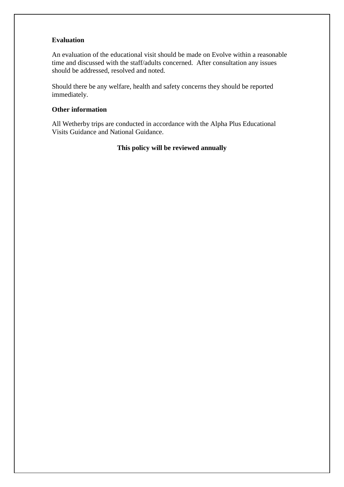#### **Evaluation**

An evaluation of the educational visit should be made on Evolve within a reasonable time and discussed with the staff/adults concerned. After consultation any issues should be addressed, resolved and noted.

Should there be any welfare, health and safety concerns they should be reported immediately.

#### **Other information**

All Wetherby trips are conducted in accordance with the Alpha Plus Educational Visits Guidance and National Guidance.

# **This policy will be reviewed annually**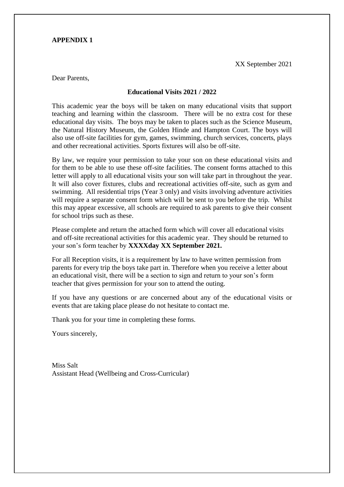#### **APPENDIX 1**

XX September 2021

Dear Parents,

#### **Educational Visits 2021 / 2022**

This academic year the boys will be taken on many educational visits that support teaching and learning within the classroom. There will be no extra cost for these educational day visits. The boys may be taken to places such as the Science Museum, the Natural History Museum, the Golden Hinde and Hampton Court. The boys will also use off-site facilities for gym, games, swimming, church services, concerts, plays and other recreational activities. Sports fixtures will also be off-site.

By law, we require your permission to take your son on these educational visits and for them to be able to use these off-site facilities. The consent forms attached to this letter will apply to all educational visits your son will take part in throughout the year. It will also cover fixtures, clubs and recreational activities off-site, such as gym and swimming. All residential trips (Year 3 only) and visits involving adventure activities will require a separate consent form which will be sent to you before the trip. Whilst this may appear excessive, all schools are required to ask parents to give their consent for school trips such as these.

Please complete and return the attached form which will cover all educational visits and off-site recreational activities for this academic year. They should be returned to your son's form teacher by **XXXXday XX September 2021.**

For all Reception visits, it is a requirement by law to have written permission from parents for every trip the boys take part in. Therefore when you receive a letter about an educational visit, there will be a section to sign and return to your son's form teacher that gives permission for your son to attend the outing.

If you have any questions or are concerned about any of the educational visits or events that are taking place please do not hesitate to contact me.

Thank you for your time in completing these forms.

Yours sincerely,

Miss Salt Assistant Head (Wellbeing and Cross-Curricular)